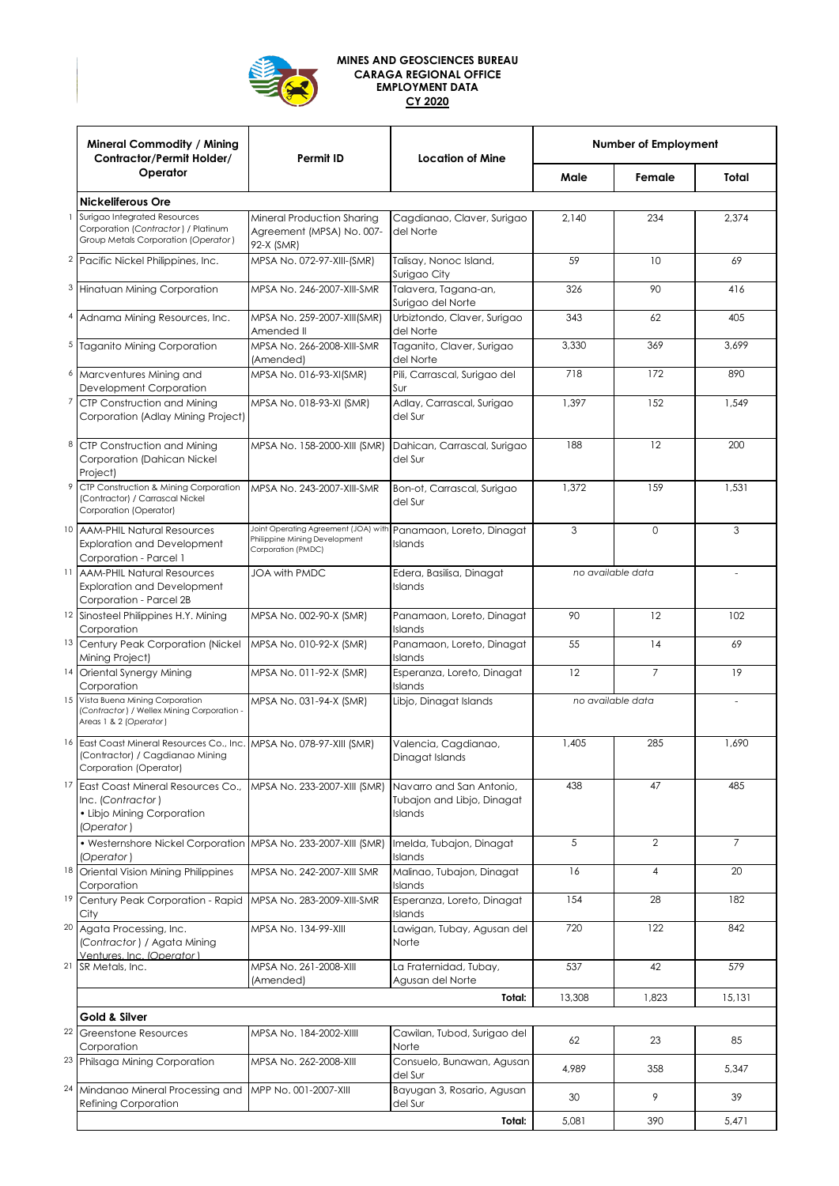

## **MINES AND GEOSCIENCES BUREAU CARAGA REGIONAL OFFICE EMPLOYMENT DATA CY 2020**

|   | <b>Mineral Commodity / Mining</b><br>Contractor/Permit Holder/<br>Operator                                                        | Permit ID                                                                                   | <b>Location of Mine</b>                                           | Number of Employment |                |                |
|---|-----------------------------------------------------------------------------------------------------------------------------------|---------------------------------------------------------------------------------------------|-------------------------------------------------------------------|----------------------|----------------|----------------|
|   |                                                                                                                                   |                                                                                             |                                                                   | Male                 | Female         | Total          |
|   | <b>Nickeliferous Ore</b>                                                                                                          |                                                                                             |                                                                   |                      |                |                |
|   | Surigao Integrated Resources<br>Corporation (Contractor) / Platinum<br>Group Metals Corporation (Operator)                        | Mineral Production Sharing<br>Agreement (MPSA) No. 007-<br>92-X (SMR)                       | Cagdianao, Claver, Surigao<br>del Norte                           | 2,140                | 234            | 2,374          |
|   | <sup>2</sup> Pacific Nickel Philippines, Inc.                                                                                     | MPSA No. 072-97-XIII-(SMR)                                                                  | Talisay, Nonoc Island,<br>Surigao City                            | 59                   | 10             | 69             |
|   | <sup>3</sup> Hinatuan Mining Corporation                                                                                          | MPSA No. 246-2007-XIII-SMR                                                                  | Talavera, Tagana-an,<br>Surigao del Norte                         | 326                  | 90             | 416            |
|   | 4 Adnama Mining Resources, Inc.                                                                                                   | MPSA No. 259-2007-XIII(SMR)<br>Amended II                                                   | Urbiztondo, Claver, Surigao<br>del Norte                          | 343                  | 62             | 405            |
|   | <sup>5</sup> Taganito Mining Corporation                                                                                          | MPSA No. 266-2008-XIII-SMR<br>(Amended)                                                     | Taganito, Claver, Surigao<br>del Norte                            | 3,330                | 369            | 3,699          |
|   | <sup>6</sup> Marcventures Mining and<br>Development Corporation                                                                   | MPSA No. 016-93-XI(SMR)                                                                     | Pili, Carrascal, Surigao del<br>Sur                               | 718                  | 172            | 890            |
|   | <sup>7</sup> CTP Construction and Mining<br>Corporation (Adlay Mining Project)                                                    | MPSA No. 018-93-XI (SMR)                                                                    | Adlay, Carrascal, Surigao<br>del Sur                              | 1,397                | 152            | 1,549          |
| 8 | CTP Construction and Mining<br>Corporation (Dahican Nickel<br>Project)                                                            | MPSA No. 158-2000-XIII (SMR)                                                                | Dahican, Carrascal, Surigao<br>del Sur                            | 188                  | 12             | 200            |
|   | 9 CTP Construction & Mining Corporation<br>(Contractor) / Carrascal Nickel<br>Corporation (Operator)                              | MPSA No. 243-2007-XIII-SMR                                                                  | Bon-ot, Carrascal, Surigao<br>del Sur                             | 1,372                | 159            | 1,531          |
|   | 10 AAM-PHIL Natural Resources<br><b>Exploration and Development</b><br>Corporation - Parcel 1                                     | Joint Operating Agreement (JOA) with<br>Philippine Mining Development<br>Corporation (PMDC) | Panamaon, Loreto, Dinagat<br><b>Islands</b>                       | 3                    | 0              | 3              |
|   | <sup>11</sup> AAM-PHIL Natural Resources<br><b>Exploration and Development</b><br>Corporation - Parcel 2B                         | <b>JOA with PMDC</b>                                                                        | Edera, Basilisa, Dinagat<br>Islands                               | no available data    |                |                |
|   | <sup>12</sup> Sinosteel Philippines H.Y. Mining<br>Corporation                                                                    | MPSA No. 002-90-X (SMR)                                                                     | Panamaon, Loreto, Dinagat<br>Islands                              | 90                   | 12             | 102            |
|   | <sup>13</sup> Century Peak Corporation (Nickel<br>Mining Project)                                                                 | MPSA No. 010-92-X (SMR)                                                                     | Panamaon, Loreto, Dinagat<br>Islands                              | 55                   | 14             | 69             |
|   | 14 Oriental Synergy Mining<br>Corporation                                                                                         | MPSA No. 011-92-X (SMR)                                                                     | Esperanza, Loreto, Dinagat<br>Islands                             | 12                   | 7              | 19             |
|   | 15 Vista Buena Mining Corporation<br>(Contractor) / Wellex Mining Corporation -<br>Areas 1 & 2 (Operator)                         | MPSA No. 031-94-X (SMR)                                                                     | Libjo, Dinagat Islands                                            | no available data    |                |                |
|   | 16 East Coast Mineral Resources Co., Inc. MPSA No. 078-97-XIII (SMR)<br>(Contractor) / Cagdianao Mining<br>Corporation (Operator) |                                                                                             | Valencia, Cagdianao,<br>Dinagat Islands                           | 1,405                | 285            | 1,690          |
|   | 17 East Coast Mineral Resources Co.,<br>Inc. (Contractor)<br>• Libjo Mining Corporation<br>(Operator)                             | MPSA No. 233-2007-XIII (SMR)                                                                | Navarro and San Antonio.<br>Tubajon and Libjo, Dinagat<br>Islands | 438                  | 47             | 485            |
|   | • Westernshore Nickel Corporation MPSA No. 233-2007-XIII (SMR)<br>(Operator)                                                      |                                                                                             | Imelda, Tubajon, Dinagat<br>Islands                               | 5                    | $\overline{2}$ | $\overline{7}$ |
|   | <sup>18</sup> Oriental Vision Mining Philippines<br>Corporation                                                                   | MPSA No. 242-2007-XIII SMR                                                                  | Malinao, Tubajon, Dinagat<br>Islands                              | 16                   | $\overline{4}$ | 20             |
|   | <sup>19</sup> Century Peak Corporation - Rapid<br>City                                                                            | MPSA No. 283-2009-XIII-SMR                                                                  | Esperanza, Loreto, Dinagat<br>Islands                             | 154                  | 28             | 182            |
|   | <sup>20</sup> Agata Processing, Inc.<br>(Contractor) / Agata Mining<br>Ventures, Inc. (Operator)                                  | MPSA No. 134-99-XIII                                                                        | Lawigan, Tubay, Agusan del<br>Norte                               | 720                  | 122            | 842            |
|   | 21 SR Metals, Inc.                                                                                                                | MPSA No. 261-2008-XIII<br>(Amended)                                                         | La Fraternidad, Tubay,<br>Agusan del Norte                        | 537                  | 42             | 579            |
|   | Total:                                                                                                                            |                                                                                             |                                                                   |                      | 1,823          | 15,131         |
|   | Gold & Silver                                                                                                                     |                                                                                             |                                                                   |                      |                |                |
|   | <sup>22</sup> Greenstone Resources<br>Corporation                                                                                 | MPSA No. 184-2002-XIIII                                                                     | Cawilan, Tubod, Surigao del<br>Norte                              | 62                   | 23             | 85             |
|   | <sup>23</sup> Philsaga Mining Corporation                                                                                         | MPSA No. 262-2008-XIII                                                                      | Consuelo, Bunawan, Agusan<br>del Sur                              | 4,989                | 358            | 5,347          |
|   | <sup>24</sup> Mindanao Mineral Processing and<br><b>Refining Corporation</b>                                                      | MPP No. 001-2007-XIII                                                                       | Bayugan 3, Rosario, Agusan<br>del Sur                             | 30                   | 9              | 39             |
|   |                                                                                                                                   |                                                                                             | Total:                                                            | 5,081                | 390            | 5,471          |